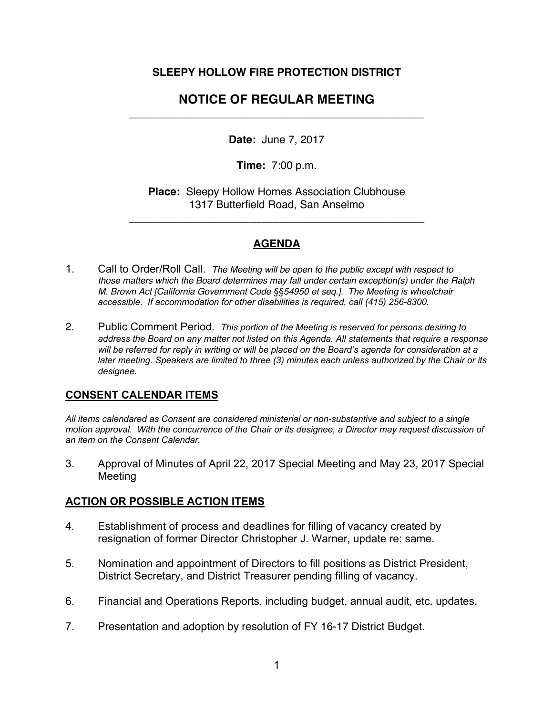### **SLEEPY HOLLOW FIRE PROTECTION DISTRICT**

# **NOTICE OF REGULAR MEETING**  \_\_\_\_\_\_\_\_\_\_\_\_\_\_\_\_\_\_\_\_\_\_\_\_\_\_\_\_\_\_\_\_\_\_\_\_\_\_\_\_\_\_\_\_\_\_\_\_\_

**Date:** June 7, 2017

**Time:** 7:00 p.m.

**Place:** Sleepy Hollow Homes Association Clubhouse 1317 Butterfield Road, San Anselmo

\_\_\_\_\_\_\_\_\_\_\_\_\_\_\_\_\_\_\_\_\_\_\_\_\_\_\_\_\_\_\_\_\_\_\_\_\_\_\_\_\_\_\_\_\_\_\_\_\_

### **AGENDA**

- 1. Call to Order/Roll Call. *The Meeting will be open to the public except with respect to those matters which the Board determines may fall under certain exception(s) under the Ralph M. Brown Act [California Government Code §§54950 et seq.]. The Meeting is wheelchair accessible. If accommodation for other disabilities is required, call (415) 256-8300.*
- 2. Public Comment Period. *This portion of the Meeting is reserved for persons desiring to address the Board on any matter not listed on this Agenda. All statements that require a response will be referred for reply in writing or will be placed on the Board's agenda for consideration at a later meeting. Speakers are limited to three (3) minutes each unless authorized by the Chair or its designee.*

#### **CONSENT CALENDAR ITEMS**

*All items calendared as Consent are considered ministerial or non-substantive and subject to a single motion approval. With the concurrence of the Chair or its designee, a Director may request discussion of an item on the Consent Calendar.*

3. Approval of Minutes of April 22, 2017 Special Meeting and May 23, 2017 Special Meeting

## **ACTION OR POSSIBLE ACTION ITEMS**

- 4. Establishment of process and deadlines for filling of vacancy created by resignation of former Director Christopher J. Warner, update re: same.
- 5. Nomination and appointment of Directors to fill positions as District President, District Secretary, and District Treasurer pending filling of vacancy.
- 6. Financial and Operations Reports, including budget, annual audit, etc. updates.
- 7. Presentation and adoption by resolution of FY 16-17 District Budget.